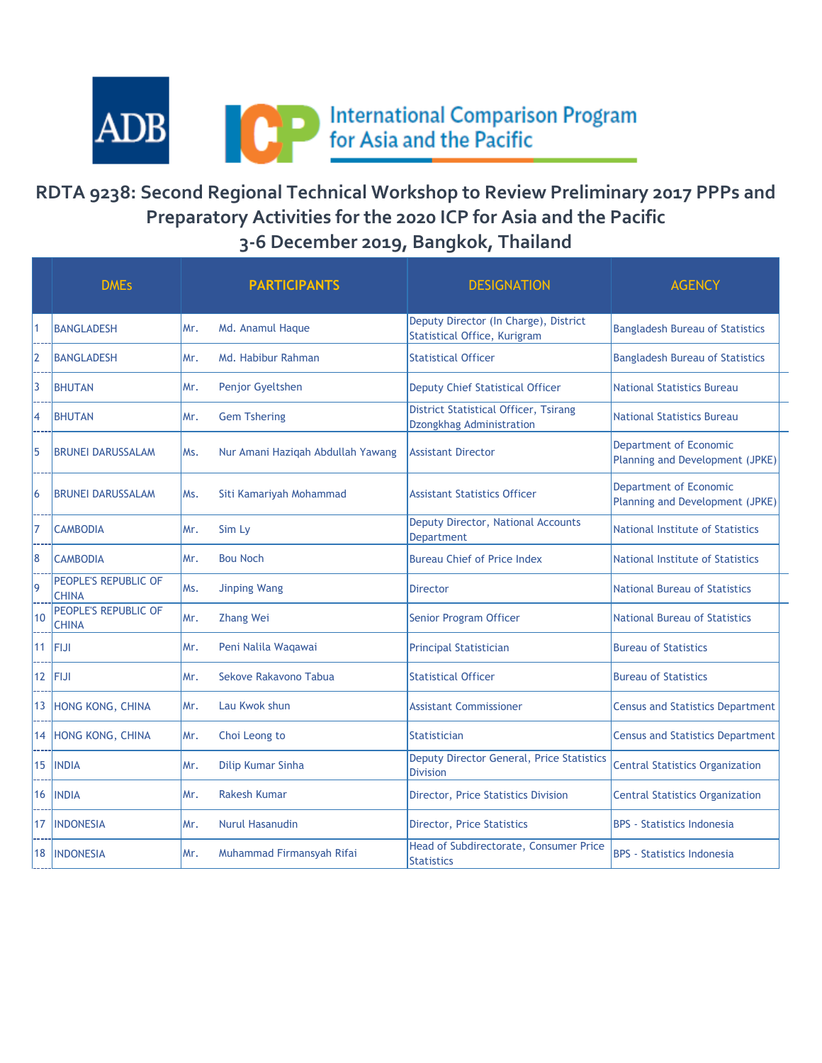

## **RDTA 9238: Second Regional Technical Workshop to Review Preliminary 2017 PPPs and Preparatory Activities for the 2020 ICP for Asia and the Pacific 3-6 December 2019, Bangkok, Thailand**

|     | <b>DMEs</b>                          |     | <b>PARTICIPANTS</b>               | <b>DESIGNATION</b>                                                           | <b>AGENCY</b>                                             |
|-----|--------------------------------------|-----|-----------------------------------|------------------------------------------------------------------------------|-----------------------------------------------------------|
|     | <b>BANGLADESH</b>                    | Mr. | Md. Anamul Haque                  | Deputy Director (In Charge), District<br><b>Statistical Office, Kurigram</b> | <b>Bangladesh Bureau of Statistics</b>                    |
| l2  | <b>BANGLADESH</b>                    | Mr. | Md. Habibur Rahman                | <b>Statistical Officer</b>                                                   | <b>Bangladesh Bureau of Statistics</b>                    |
| 13  | <b>BHUTAN</b>                        | Mr. | Penjor Gyeltshen                  | <b>Deputy Chief Statistical Officer</b>                                      | <b>National Statistics Bureau</b>                         |
| 14  | <b>BHUTAN</b>                        | Mr. | <b>Gem Tshering</b>               | <b>District Statistical Officer, Tsirang</b><br>Dzongkhag Administration     | <b>National Statistics Bureau</b>                         |
| 15  | <b>BRUNEI DARUSSALAM</b>             | Ms. | Nur Amani Hazigah Abdullah Yawang | <b>Assistant Director</b>                                                    | Department of Economic<br>Planning and Development (JPKE) |
| l6  | <b>BRUNEI DARUSSALAM</b>             | Ms. | Siti Kamariyah Mohammad           | <b>Assistant Statistics Officer</b>                                          | Department of Economic<br>Planning and Development (JPKE) |
| 17  | <b>CAMBODIA</b>                      | Mr. | Sim Ly                            | Deputy Director, National Accounts<br><b>Department</b>                      | National Institute of Statistics                          |
| 18  | <b>CAMBODIA</b>                      | Mr. | <b>Bou Noch</b>                   | <b>Bureau Chief of Price Index</b>                                           | National Institute of Statistics                          |
| l9  | PEOPLE'S REPUBLIC OF<br><b>CHINA</b> | Ms. | <b>Jinping Wang</b>               | <b>Director</b>                                                              | <b>National Bureau of Statistics</b>                      |
| 110 | PEOPLE'S REPUBLIC OF<br><b>CHINA</b> | Mr. | <b>Zhang Wei</b>                  | Senior Program Officer                                                       | <b>National Bureau of Statistics</b>                      |
| 111 | FIJI                                 | Mr. | Peni Nalila Waqawai               | <b>Principal Statistician</b>                                                | <b>Bureau of Statistics</b>                               |
| 12  | <b>FIJI</b>                          | Mr. | Sekove Rakavono Tabua             | <b>Statistical Officer</b>                                                   | <b>Bureau of Statistics</b>                               |
| 13  | HONG KONG, CHINA                     | Mr. | Lau Kwok shun                     | <b>Assistant Commissioner</b>                                                | <b>Census and Statistics Department</b>                   |
| 14  | <b>HONG KONG, CHINA</b>              | Mr. | Choi Leong to                     | <b>Statistician</b>                                                          | <b>Census and Statistics Department</b>                   |
| 15  | <b>INDIA</b>                         | Mr. | Dilip Kumar Sinha                 | Deputy Director General, Price Statistics<br><b>Division</b>                 | <b>Central Statistics Organization</b>                    |
| 16  | <b>INDIA</b>                         | Mr. | <b>Rakesh Kumar</b>               | Director, Price Statistics Division                                          | <b>Central Statistics Organization</b>                    |
| 17  | <b>INDONESIA</b>                     | Mr. | <b>Nurul Hasanudin</b>            | Director, Price Statistics                                                   | <b>BPS</b> - Statistics Indonesia                         |
| 18  | <b>INDONESIA</b>                     | Mr. | Muhammad Firmansyah Rifai         | Head of Subdirectorate, Consumer Price<br><b>Statistics</b>                  | <b>BPS</b> - Statistics Indonesia                         |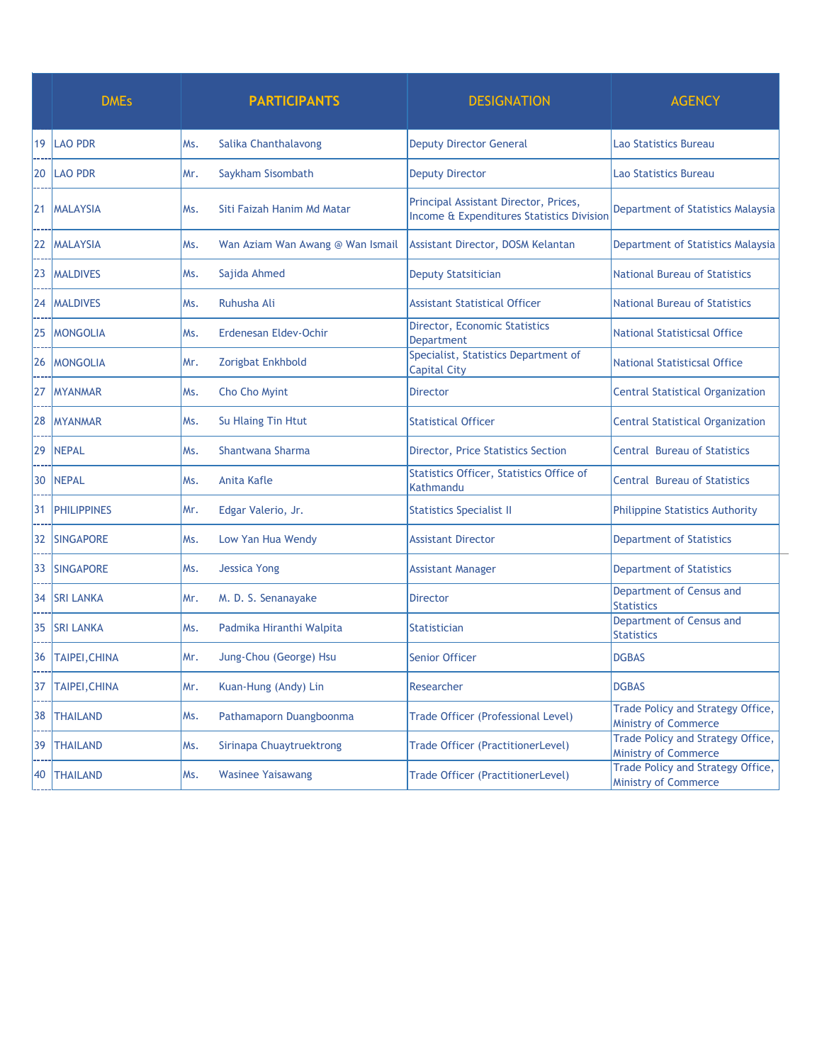|    | <b>DMEs</b>          |     | <b>PARTICIPANTS</b>              | <b>DESIGNATION</b>                                                                 | <b>AGENCY</b>                                                    |
|----|----------------------|-----|----------------------------------|------------------------------------------------------------------------------------|------------------------------------------------------------------|
| 19 | <b>LAO PDR</b>       | Ms. | Salika Chanthalavong             | <b>Deputy Director General</b>                                                     | Lao Statistics Bureau                                            |
| 20 | <b>LAO PDR</b>       | Mr. | Saykham Sisombath                | <b>Deputy Director</b>                                                             | <b>Lao Statistics Bureau</b>                                     |
| 21 | <b>MALAYSIA</b>      | Ms. | Siti Faizah Hanim Md Matar       | Principal Assistant Director, Prices,<br>Income & Expenditures Statistics Division | Department of Statistics Malaysia                                |
| 22 | <b>MALAYSIA</b>      | Ms. | Wan Aziam Wan Awang @ Wan Ismail | <b>Assistant Director, DOSM Kelantan</b>                                           | Department of Statistics Malaysia                                |
| 23 | <b>MALDIVES</b>      | Ms. | Sajida Ahmed                     | <b>Deputy Statsitician</b>                                                         | National Bureau of Statistics                                    |
| 24 | <b>MALDIVES</b>      | Ms. | Ruhusha Ali                      | <b>Assistant Statistical Officer</b>                                               | <b>National Bureau of Statistics</b>                             |
| 25 | <b>MONGOLIA</b>      | Ms. | Erdenesan Eldev-Ochir            | Director, Economic Statistics<br><b>Department</b>                                 | <b>National Statisticsal Office</b>                              |
| 26 | <b>MONGOLIA</b>      | Mr. | Zorigbat Enkhbold                | Specialist, Statistics Department of<br><b>Capital City</b>                        | National Statisticsal Office                                     |
| 27 | <b>MYANMAR</b>       | Ms. | Cho Cho Myint                    | <b>Director</b>                                                                    | <b>Central Statistical Organization</b>                          |
| 28 | <b>MYANMAR</b>       | Ms. | Su Hlaing Tin Htut               | <b>Statistical Officer</b>                                                         | <b>Central Statistical Organization</b>                          |
| 29 | <b>NEPAL</b>         | Ms. | Shantwana Sharma                 | Director, Price Statistics Section                                                 | <b>Central Bureau of Statistics</b>                              |
| 30 | <b>NEPAL</b>         | Ms. | Anita Kafle                      | Statistics Officer, Statistics Office of<br>Kathmandu                              | <b>Central Bureau of Statistics</b>                              |
| 31 | <b>PHILIPPINES</b>   | Mr. | Edgar Valerio, Jr.               | <b>Statistics Specialist II</b>                                                    | Philippine Statistics Authority                                  |
| 32 | <b>SINGAPORE</b>     | Ms. | Low Yan Hua Wendy                | <b>Assistant Director</b>                                                          | Department of Statistics                                         |
| 33 | <b>SINGAPORE</b>     | Ms. | <b>Jessica Yong</b>              | <b>Assistant Manager</b>                                                           | <b>Department of Statistics</b>                                  |
| 34 | <b>SRI LANKA</b>     | Mr. | M. D. S. Senanayake              | <b>Director</b>                                                                    | Department of Census and<br><b>Statistics</b>                    |
| 35 | <b>SRI LANKA</b>     | Ms. | Padmika Hiranthi Walpita         | <b>Statistician</b>                                                                | Department of Census and<br><b>Statistics</b>                    |
| 36 | <b>TAIPEI, CHINA</b> | Mr. | Jung-Chou (George) Hsu           | <b>Senior Officer</b>                                                              | <b>DGBAS</b>                                                     |
| 37 | TAIPEI, CHINA        | Mr. | Kuan-Hung (Andy) Lin             | Researcher                                                                         | <b>DGBAS</b>                                                     |
| 38 | <b>THAILAND</b>      | Ms. | Pathamaporn Duangboonma          | Trade Officer (Professional Level)                                                 | Trade Policy and Strategy Office,<br><b>Ministry of Commerce</b> |
| 39 | <b>THAILAND</b>      | Ms. | Sirinapa Chuaytruektrong         | Trade Officer (PractitionerLevel)                                                  | Trade Policy and Strategy Office,<br>Ministry of Commerce        |
| 40 | <b>THAILAND</b>      | Ms. | <b>Wasinee Yaisawang</b>         | Trade Officer (PractitionerLevel)                                                  | Trade Policy and Strategy Office,<br>Ministry of Commerce        |